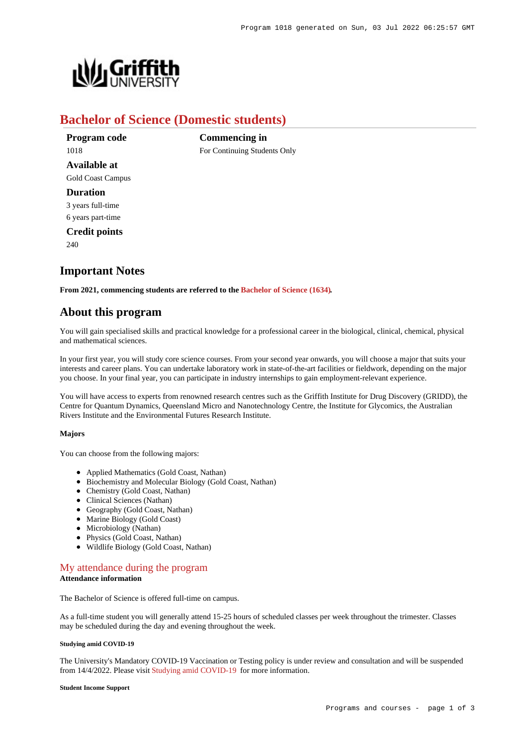

# **Bachelor of Science (Domestic students)**

**Commencing in**

For Continuing Students Only

**Program code** 1018 **Available at** Gold Coast Campus **Duration** 3 years full-time 6 years part-time **Credit points** 240

# **Important Notes**

**From 2021, commencing students are referred to the [Bachelor of Science \(1634\)](https://www148.griffith.edu.au/Search/Results?SearchText=1634).**

# **About this program**

You will gain specialised skills and practical knowledge for a professional career in the biological, clinical, chemical, physical and mathematical sciences.

In your first year, you will study core science courses. From your second year onwards, you will choose a major that suits your interests and career plans. You can undertake laboratory work in state-of-the-art facilities or fieldwork, depending on the major you choose. In your final year, you can participate in industry internships to gain employment-relevant experience.

You will have access to experts from renowned research centres such as the Griffith Institute for Drug Discovery (GRIDD), the Centre for Quantum Dynamics, Queensland Micro and Nanotechnology Centre, the Institute for Glycomics, the Australian Rivers Institute and the Environmental Futures Research Institute.

#### **Majors**

You can choose from the following majors:

- Applied Mathematics (Gold Coast, Nathan)
- Biochemistry and Molecular Biology (Gold Coast, Nathan)
- Chemistry (Gold Coast, Nathan)
- Clinical Sciences (Nathan)
- Geography (Gold Coast, Nathan)
- Marine Biology (Gold Coast)
- Microbiology (Nathan)
- Physics (Gold Coast, Nathan)
- Wildlife Biology (Gold Coast, Nathan)

## [My attendance during the program](https://www148.griffith.edu.au/programs-courses/Program/1018/Overview/Domestic#attendance) **Attendance information**

The Bachelor of Science is offered full-time on campus.

As a full-time student you will generally attend 15-25 hours of scheduled classes per week throughout the trimester. Classes may be scheduled during the day and evening throughout the week.

### **Studying amid COVID-19**

The University's Mandatory COVID-19 Vaccination or Testing policy is under review and consultation and will be suspended from 14/4/2022. Please visit [Studying amid COVID-19](https://www.griffith.edu.au/coronavirus/studying-amid-covid-19) for more information.

#### **Student Income Support**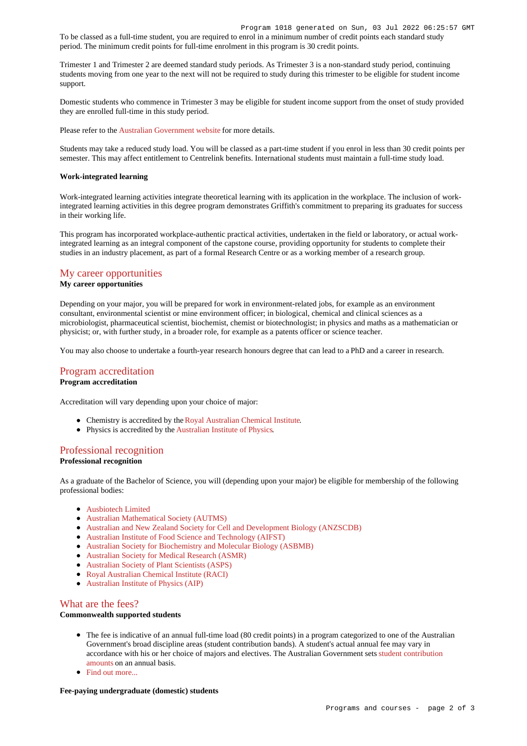To be classed as a full-time student, you are required to enrol in a minimum number of credit points each standard study period. The minimum credit points for full-time enrolment in this program is 30 credit points.

Trimester 1 and Trimester 2 are deemed standard study periods. As Trimester 3 is a non-standard study period, continuing students moving from one year to the next will not be required to study during this trimester to be eligible for student income support.

Domestic students who commence in Trimester 3 may be eligible for student income support from the onset of study provided they are enrolled full-time in this study period.

Please refer to the [Australian Government website](https://www.humanservices.gov.au/customer/dhs/centrelink) for more details.

Students may take a reduced study load. You will be classed as a part-time student if you enrol in less than 30 credit points per semester. This may affect entitlement to Centrelink benefits. International students must maintain a full-time study load.

#### **Work-integrated learning**

Work-integrated learning activities integrate theoretical learning with its application in the workplace. The inclusion of workintegrated learning activities in this degree program demonstrates Griffith's commitment to preparing its graduates for success in their working life.

This program has incorporated workplace-authentic practical activities, undertaken in the field or laboratory, or actual workintegrated learning as an integral component of the capstone course, providing opportunity for students to complete their studies in an industry placement, as part of a formal Research Centre or as a working member of a research group.

## [My career opportunities](https://www148.griffith.edu.au/programs-courses/Program/1018/Overview/Domestic#opportunities)

### **My career opportunities**

Depending on your major, you will be prepared for work in environment-related jobs, for example as an environment consultant, environmental scientist or mine environment officer; in biological, chemical and clinical sciences as a microbiologist, pharmaceutical scientist, biochemist, chemist or biotechnologist; in physics and maths as a mathematician or physicist; or, with further study, in a broader role, for example as a patents officer or science teacher.

You may also choose to undertake a fourth-year research honours degree that can lead to a PhD and a career in research.

# [Program accreditation](https://www148.griffith.edu.au/programs-courses/Program/1018/Overview/Domestic#accreditation)

# **Program accreditation**

Accreditation will vary depending upon your choice of major:

- Chemistry is accredited by the [Royal Australian Chemical Institute](https://www.raci.org.au/).
- Physics is accredited by the [Australian Institute of Physics](http://www.aip.org.au/info/).

## [Professional recognition](https://www148.griffith.edu.au/programs-courses/Program/1018/Overview/Domestic#recognition)

# **Professional recognition**

As a graduate of the Bachelor of Science, you will (depending upon your major) be eligible for membership of the following professional bodies:

- [Ausbiotech Limited](http://www.ausbiotech.org/)
- [Australian Mathematical Society \(AUTMS\)](http://www.austms.org.au/)
- [Australian and New Zealand Society for Cell and Development Biology \(ANZSCDB\)](http://www.anzscdb.org/)
- [Australian Institute of Food Science and Technology \(AIFST\)](http://www.aifst.asn.au/)
- [Australian Society for Biochemistry and Molecular Biology \(ASBMB\)](https://www.asbmb.org.au/)
- [Australian Society for Medical Research \(ASMR\)](http://www.asmr.org.au/)
- [Australian Society of Plant Scientists \(ASPS\)](http://www.asps.org.au/)
- [Royal Australian Chemical Institute \(RACI\)](https://www.raci.org.au/)
- [Australian Institute of Physics \(AIP\)](http://www.aip.org.au/info/)

# [What are the fees?](https://www148.griffith.edu.au/programs-courses/Program/1018/Overview/Domestic#fees)

# **Commonwealth supported students**

- The fee is indicative of an annual full-time load (80 credit points) in a program categorized to one of the Australian Government's broad discipline areas (student contribution bands). A student's actual annual fee may vary in accordance with his or her choice of majors and electives. The Australian Government sets [student contribution](http://studyassist.gov.au/sites/studyassist/helppayingmyfees/csps/pages/student-contribution-amounts) [amounts](http://studyassist.gov.au/sites/studyassist/helppayingmyfees/csps/pages/student-contribution-amounts) on an annual basis.
- Find out more...

#### **Fee-paying undergraduate (domestic) students**